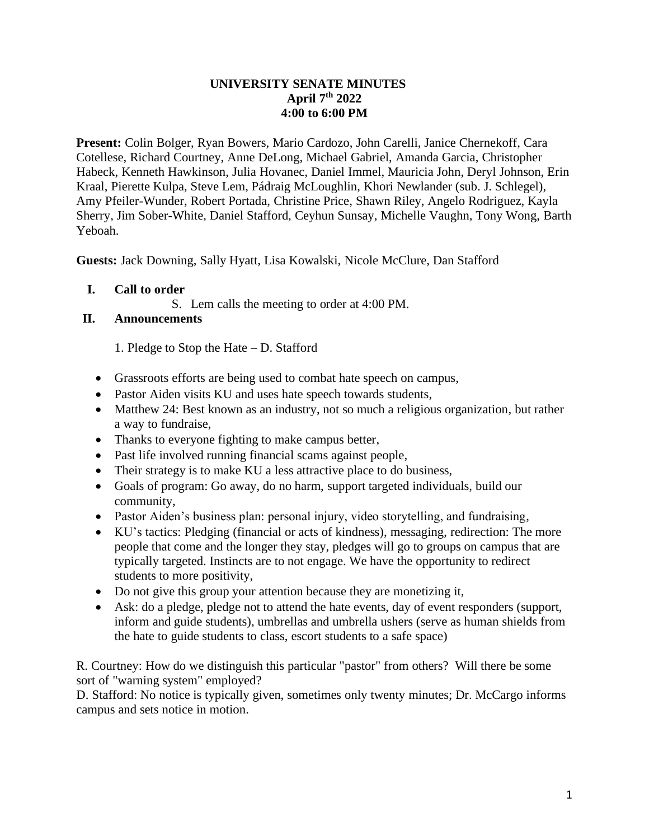## **UNIVERSITY SENATE MINUTES April 7th 2022 4:00 to 6:00 PM**

**Present:** Colin Bolger, Ryan Bowers, Mario Cardozo, John Carelli, Janice Chernekoff, Cara Cotellese, Richard Courtney, Anne DeLong, Michael Gabriel, Amanda Garcia, Christopher Habeck, Kenneth Hawkinson, Julia Hovanec, Daniel Immel, Mauricia John, Deryl Johnson, Erin Kraal, Pierette Kulpa, Steve Lem, Pádraig McLoughlin, Khori Newlander (sub. J. Schlegel), Amy Pfeiler-Wunder, Robert Portada, Christine Price, Shawn Riley, Angelo Rodriguez, Kayla Sherry, Jim Sober-White, Daniel Stafford, Ceyhun Sunsay, Michelle Vaughn, Tony Wong, Barth Yeboah.

**Guests:** Jack Downing, Sally Hyatt, Lisa Kowalski, Nicole McClure, Dan Stafford

## **I. Call to order**

S. Lem calls the meeting to order at 4:00 PM.

# **II. Announcements**

1. Pledge to Stop the Hate – D. Stafford

- Grassroots efforts are being used to combat hate speech on campus,
- Pastor Aiden visits KU and uses hate speech towards students,
- Matthew 24: Best known as an industry, not so much a religious organization, but rather a way to fundraise,
- Thanks to everyone fighting to make campus better,
- Past life involved running financial scams against people,
- Their strategy is to make KU a less attractive place to do business,
- Goals of program: Go away, do no harm, support targeted individuals, build our community,
- Pastor Aiden's business plan: personal injury, video storytelling, and fundraising,
- KU's tactics: Pledging (financial or acts of kindness), messaging, redirection: The more people that come and the longer they stay, pledges will go to groups on campus that are typically targeted. Instincts are to not engage. We have the opportunity to redirect students to more positivity,
- Do not give this group your attention because they are monetizing it,
- Ask: do a pledge, pledge not to attend the hate events, day of event responders (support, inform and guide students), umbrellas and umbrella ushers (serve as human shields from the hate to guide students to class, escort students to a safe space)

R. Courtney: How do we distinguish this particular "pastor" from others? Will there be some sort of "warning system" employed?

D. Stafford: No notice is typically given, sometimes only twenty minutes; Dr. McCargo informs campus and sets notice in motion.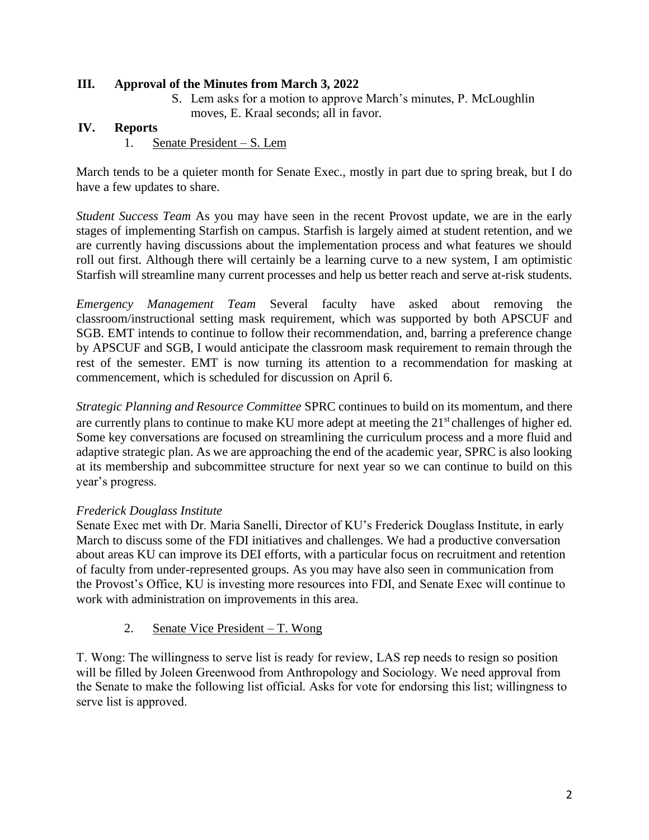## **III. Approval of the Minutes from March 3, 2022**

S. Lem asks for a motion to approve March's minutes, P. McLoughlin moves, E. Kraal seconds; all in favor.

### **IV. Reports**

1. Senate President – S. Lem

March tends to be a quieter month for Senate Exec., mostly in part due to spring break, but I do have a few updates to share.

*Student Success Team* As you may have seen in the recent Provost update, we are in the early stages of implementing Starfish on campus. Starfish is largely aimed at student retention, and we are currently having discussions about the implementation process and what features we should roll out first. Although there will certainly be a learning curve to a new system, I am optimistic Starfish will streamline many current processes and help us better reach and serve at-risk students.

*Emergency Management Team* Several faculty have asked about removing the classroom/instructional setting mask requirement, which was supported by both APSCUF and SGB. EMT intends to continue to follow their recommendation, and, barring a preference change by APSCUF and SGB, I would anticipate the classroom mask requirement to remain through the rest of the semester. EMT is now turning its attention to a recommendation for masking at commencement, which is scheduled for discussion on April 6.

*Strategic Planning and Resource Committee* SPRC continues to build on its momentum, and there are currently plans to continue to make KU more adept at meeting the 21<sup>st</sup> challenges of higher ed. Some key conversations are focused on streamlining the curriculum process and a more fluid and adaptive strategic plan. As we are approaching the end of the academic year, SPRC is also looking at its membership and subcommittee structure for next year so we can continue to build on this year's progress.

#### *Frederick Douglass Institute*

Senate Exec met with Dr. Maria Sanelli, Director of KU's Frederick Douglass Institute, in early March to discuss some of the FDI initiatives and challenges. We had a productive conversation about areas KU can improve its DEI efforts, with a particular focus on recruitment and retention of faculty from under-represented groups. As you may have also seen in communication from the Provost's Office, KU is investing more resources into FDI, and Senate Exec will continue to work with administration on improvements in this area.

2. Senate Vice President – T. Wong

T. Wong: The willingness to serve list is ready for review, LAS rep needs to resign so position will be filled by Joleen Greenwood from Anthropology and Sociology. We need approval from the Senate to make the following list official. Asks for vote for endorsing this list; willingness to serve list is approved.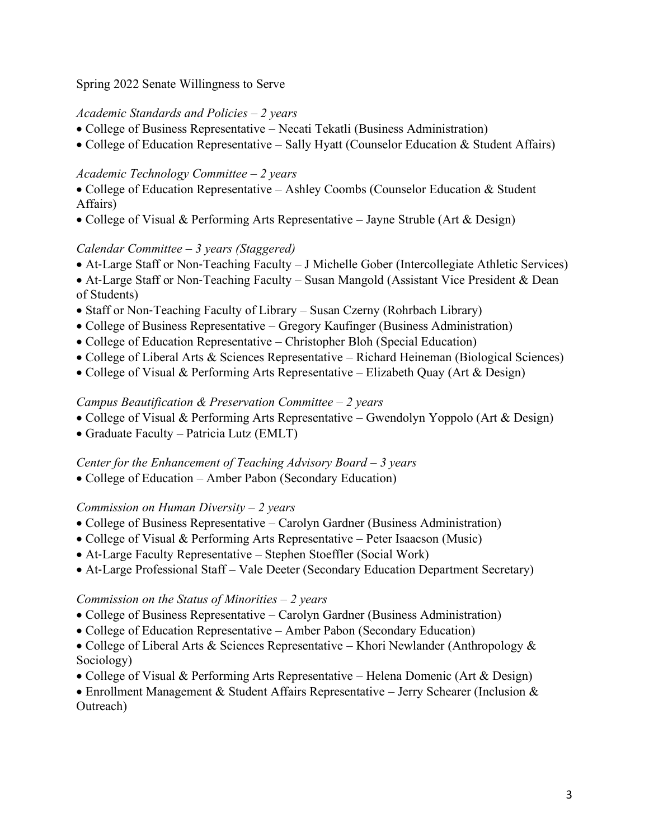Spring 2022 Senate Willingness to Serve

## *Academic Standards and Policies – 2 years*

- College of Business Representative Necati Tekatli (Business Administration)
- College of Education Representative Sally Hyatt (Counselor Education & Student Affairs)

## *Academic Technology Committee – 2 years*

- College of Education Representative Ashley Coombs (Counselor Education & Student Affairs)
- College of Visual & Performing Arts Representative Jayne Struble (Art & Design)

## *Calendar Committee – 3 years (Staggered)*

- At-Large Staff or Non-Teaching Faculty J Michelle Gober (Intercollegiate Athletic Services)
- At-Large Staff or Non-Teaching Faculty Susan Mangold (Assistant Vice President & Dean of Students)
- Staff or Non-Teaching Faculty of Library Susan Czerny (Rohrbach Library)
- College of Business Representative Gregory Kaufinger (Business Administration)
- College of Education Representative Christopher Bloh (Special Education)
- College of Liberal Arts & Sciences Representative Richard Heineman (Biological Sciences)
- College of Visual & Performing Arts Representative Elizabeth Quay (Art & Design)

## *Campus Beautification & Preservation Committee – 2 years*

- College of Visual & Performing Arts Representative Gwendolyn Yoppolo (Art & Design)
- Graduate Faculty Patricia Lutz (EMLT)

#### *Center for the Enhancement of Teaching Advisory Board – 3 years*

• College of Education – Amber Pabon (Secondary Education)

# *Commission on Human Diversity – 2 years*

- College of Business Representative Carolyn Gardner (Business Administration)
- College of Visual & Performing Arts Representative Peter Isaacson (Music)
- At-Large Faculty Representative Stephen Stoeffler (Social Work)
- At-Large Professional Staff Vale Deeter (Secondary Education Department Secretary)

#### *Commission on the Status of Minorities – 2 years*

- College of Business Representative Carolyn Gardner (Business Administration)
- College of Education Representative Amber Pabon (Secondary Education)
- College of Liberal Arts & Sciences Representative Khori Newlander (Anthropology & Sociology)
- College of Visual & Performing Arts Representative Helena Domenic (Art & Design)
- Enrollment Management & Student Affairs Representative Jerry Schearer (Inclusion & Outreach)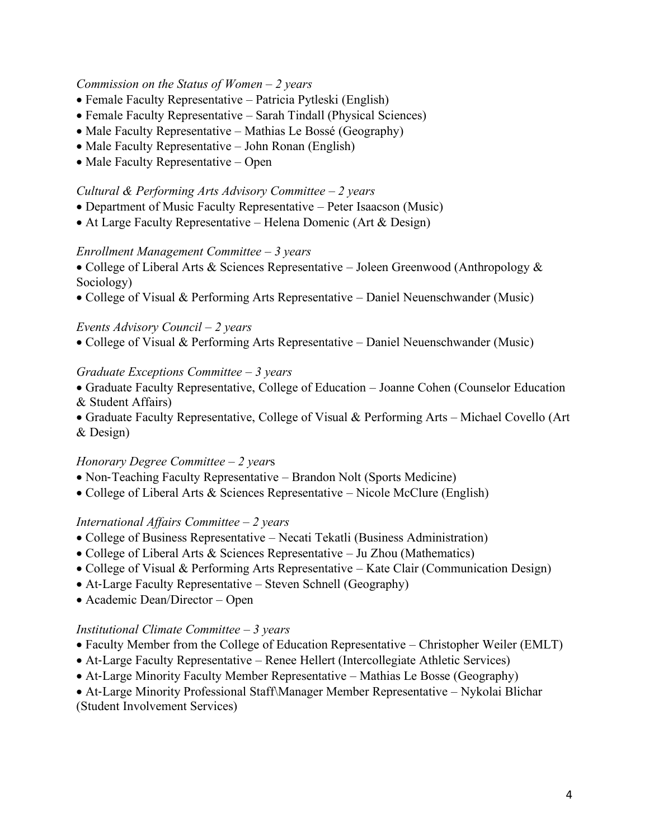#### *Commission on the Status of Women – 2 years*

- Female Faculty Representative Patricia Pytleski (English)
- Female Faculty Representative Sarah Tindall (Physical Sciences)
- Male Faculty Representative Mathias Le Bossé (Geography)
- Male Faculty Representative John Ronan (English)
- Male Faculty Representative Open

#### *Cultural & Performing Arts Advisory Committee – 2 years*

- Department of Music Faculty Representative Peter Isaacson (Music)
- At Large Faculty Representative Helena Domenic (Art & Design)

#### *Enrollment Management Committee – 3 years*

- College of Liberal Arts & Sciences Representative Joleen Greenwood (Anthropology & Sociology)
- College of Visual & Performing Arts Representative Daniel Neuenschwander (Music)

#### *Events Advisory Council – 2 years*

• College of Visual & Performing Arts Representative – Daniel Neuenschwander (Music)

#### *Graduate Exceptions Committee – 3 years*

- Graduate Faculty Representative, College of Education Joanne Cohen (Counselor Education & Student Affairs)
- Graduate Faculty Representative, College of Visual & Performing Arts Michael Covello (Art & Design)

#### *Honorary Degree Committee – 2 year*s

- Non-Teaching Faculty Representative Brandon Nolt (Sports Medicine)
- College of Liberal Arts & Sciences Representative Nicole McClure (English)

#### *International Affairs Committee – 2 years*

- College of Business Representative Necati Tekatli (Business Administration)
- College of Liberal Arts & Sciences Representative Ju Zhou (Mathematics)
- College of Visual & Performing Arts Representative Kate Clair (Communication Design)
- At-Large Faculty Representative Steven Schnell (Geography)
- Academic Dean/Director Open

### *Institutional Climate Committee – 3 years*

- Faculty Member from the College of Education Representative Christopher Weiler (EMLT)
- At-Large Faculty Representative Renee Hellert (Intercollegiate Athletic Services)
- At-Large Minority Faculty Member Representative Mathias Le Bosse (Geography)
- At-Large Minority Professional Staff\Manager Member Representative Nykolai Blichar

(Student Involvement Services)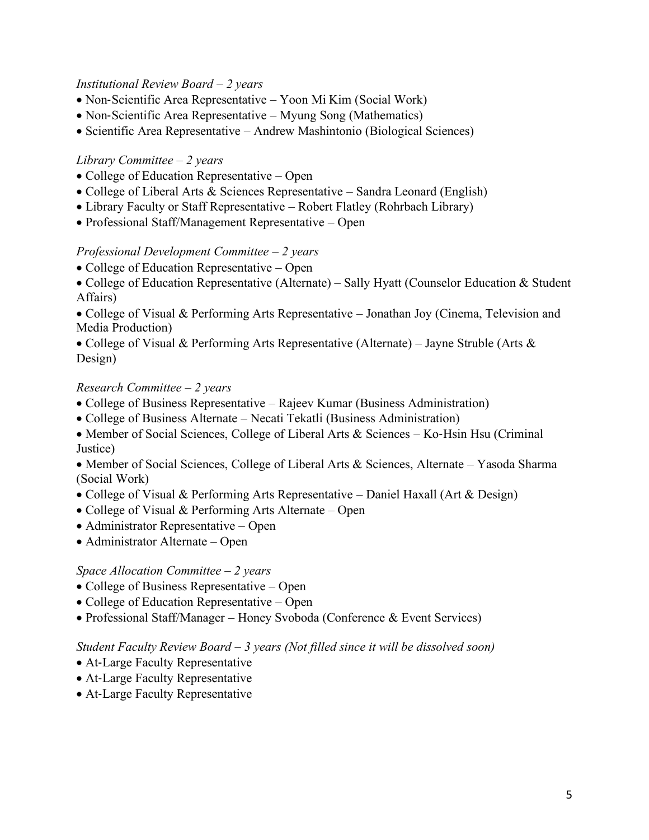### *Institutional Review Board – 2 years*

- Non-Scientific Area Representative Yoon Mi Kim (Social Work)
- Non-Scientific Area Representative Myung Song (Mathematics)
- Scientific Area Representative Andrew Mashintonio (Biological Sciences)

## *Library Committee – 2 years*

- College of Education Representative Open
- College of Liberal Arts & Sciences Representative Sandra Leonard (English)
- Library Faculty or Staff Representative Robert Flatley (Rohrbach Library)
- Professional Staff/Management Representative Open

## *Professional Development Committee – 2 years*

- College of Education Representative Open
- College of Education Representative (Alternate) Sally Hyatt (Counselor Education & Student Affairs)

• College of Visual & Performing Arts Representative – Jonathan Joy (Cinema, Television and Media Production)

• College of Visual & Performing Arts Representative (Alternate) – Jayne Struble (Arts & Design)

## *Research Committee – 2 years*

- College of Business Representative Rajeev Kumar (Business Administration)
- College of Business Alternate Necati Tekatli (Business Administration)
- Member of Social Sciences, College of Liberal Arts & Sciences Ko-Hsin Hsu (Criminal) Justice)

• Member of Social Sciences, College of Liberal Arts & Sciences, Alternate – Yasoda Sharma (Social Work)

- College of Visual & Performing Arts Representative Daniel Haxall (Art & Design)
- College of Visual & Performing Arts Alternate Open
- Administrator Representative Open
- Administrator Alternate Open

#### *Space Allocation Committee – 2 years*

- College of Business Representative Open
- College of Education Representative Open
- Professional Staff/Manager Honey Svoboda (Conference & Event Services)

#### *Student Faculty Review Board – 3 years (Not filled since it will be dissolved soon)*

- At-Large Faculty Representative
- At-Large Faculty Representative
- At-Large Faculty Representative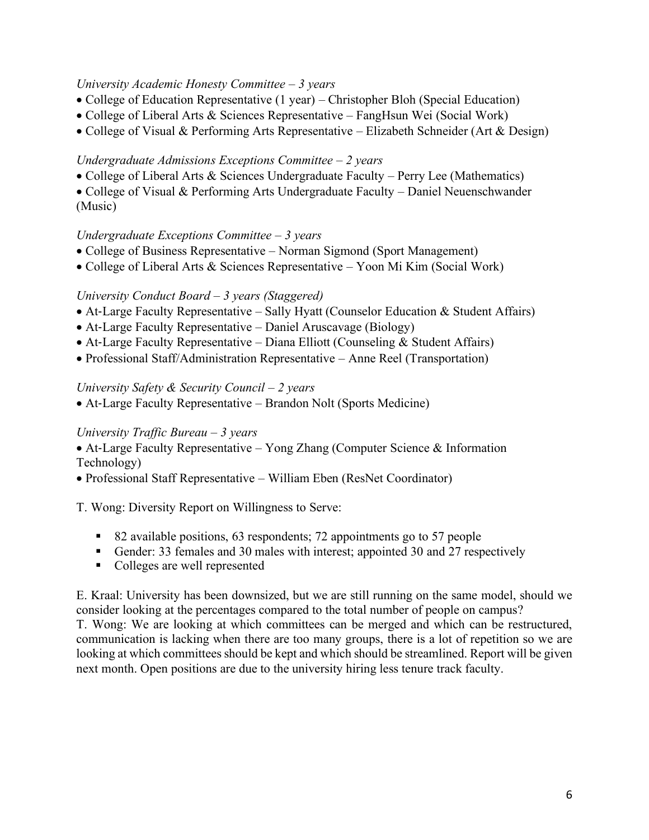## *University Academic Honesty Committee – 3 years*

- College of Education Representative (1 year) Christopher Bloh (Special Education)
- College of Liberal Arts & Sciences Representative FangHsun Wei (Social Work)
- College of Visual & Performing Arts Representative Elizabeth Schneider (Art & Design)

## *Undergraduate Admissions Exceptions Committee – 2 years*

• College of Liberal Arts & Sciences Undergraduate Faculty – Perry Lee (Mathematics)

• College of Visual & Performing Arts Undergraduate Faculty – Daniel Neuenschwander (Music)

## *Undergraduate Exceptions Committee – 3 years*

- College of Business Representative Norman Sigmond (Sport Management)
- College of Liberal Arts & Sciences Representative Yoon Mi Kim (Social Work)

# *University Conduct Board – 3 years (Staggered)*

- At-Large Faculty Representative Sally Hyatt (Counselor Education & Student Affairs)
- At-Large Faculty Representative Daniel Aruscavage (Biology)
- At-Large Faculty Representative Diana Elliott (Counseling & Student Affairs)
- Professional Staff/Administration Representative Anne Reel (Transportation)

#### *University Safety & Security Council – 2 years*

• At-Large Faculty Representative – Brandon Nolt (Sports Medicine)

# *University Traffic Bureau – 3 years*

- At-Large Faculty Representative Yong Zhang (Computer Science & Information Technology)
- Professional Staff Representative William Eben (ResNet Coordinator)

T. Wong: Diversity Report on Willingness to Serve:

- 82 available positions, 63 respondents; 72 appointments go to 57 people
- Gender: 33 females and 30 males with interest; appointed 30 and 27 respectively
- Colleges are well represented

E. Kraal: University has been downsized, but we are still running on the same model, should we consider looking at the percentages compared to the total number of people on campus?

T. Wong: We are looking at which committees can be merged and which can be restructured, communication is lacking when there are too many groups, there is a lot of repetition so we are looking at which committees should be kept and which should be streamlined. Report will be given next month. Open positions are due to the university hiring less tenure track faculty.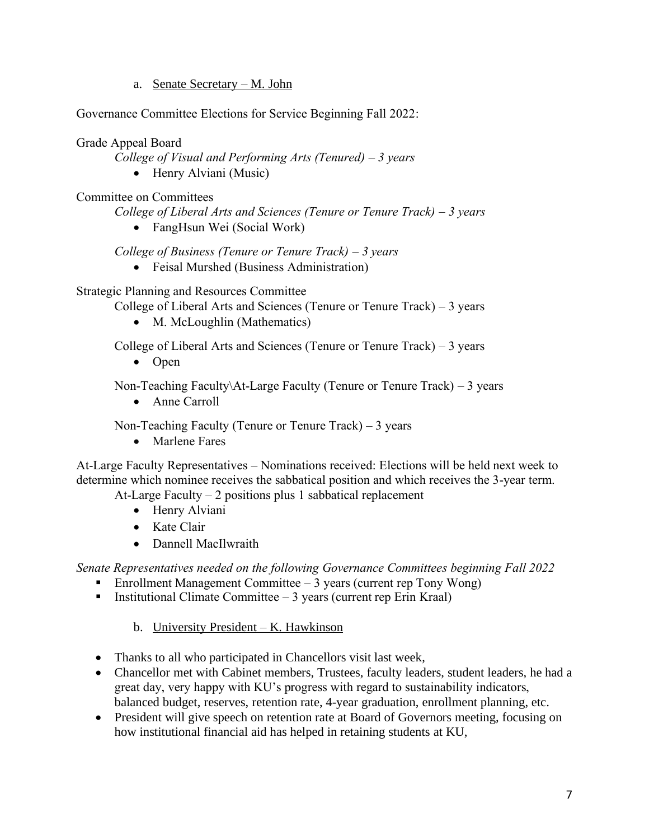a. Senate Secretary – M. John

Governance Committee Elections for Service Beginning Fall 2022:

Grade Appeal Board

*College of Visual and Performing Arts (Tenured) – 3 years* 

• Henry Alviani (Music)

Committee on Committees

*College of Liberal Arts and Sciences (Tenure or Tenure Track) – 3 years* 

• FangHsun Wei (Social Work)

*College of Business (Tenure or Tenure Track) – 3 years* 

• Feisal Murshed (Business Administration)

Strategic Planning and Resources Committee

College of Liberal Arts and Sciences (Tenure or Tenure Track)  $-3$  years

• M. McLoughlin (Mathematics)

College of Liberal Arts and Sciences (Tenure or Tenure Track)  $-3$  years

• Open

Non-Teaching Faculty\At-Large Faculty (Tenure or Tenure Track) – 3 years

• Anne Carroll

Non-Teaching Faculty (Tenure or Tenure Track)  $-3$  years

• Marlene Fares

At-Large Faculty Representatives – Nominations received: Elections will be held next week to determine which nominee receives the sabbatical position and which receives the 3-year term. At-Large Faculty  $-2$  positions plus 1 sabbatical replacement

- Henry Alviani
- Kate Clair
- Dannell MacIlwraith

*Senate Representatives needed on the following Governance Committees beginning Fall 2022*

- **Enrollment Management Committee 3 years (current rep Tony Wong)**
- Institutional Climate Committee  $-3$  years (current rep Erin Kraal)

b. University President – K. Hawkinson

- Thanks to all who participated in Chancellors visit last week,
- Chancellor met with Cabinet members, Trustees, faculty leaders, student leaders, he had a great day, very happy with KU's progress with regard to sustainability indicators, balanced budget, reserves, retention rate, 4-year graduation, enrollment planning, etc.
- President will give speech on retention rate at Board of Governors meeting, focusing on how institutional financial aid has helped in retaining students at KU,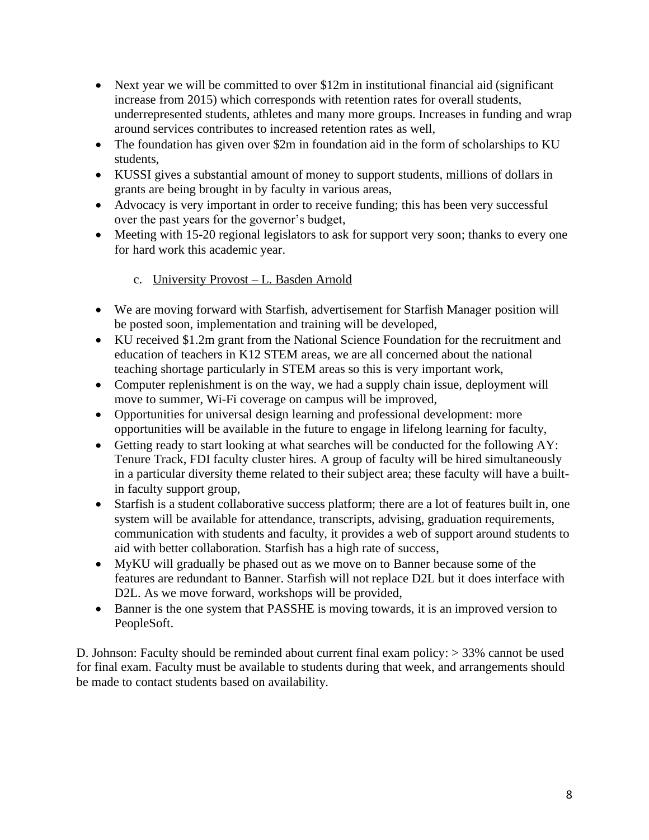- Next year we will be committed to over \$12m in institutional financial aid (significant increase from 2015) which corresponds with retention rates for overall students, underrepresented students, athletes and many more groups. Increases in funding and wrap around services contributes to increased retention rates as well,
- The foundation has given over \$2m in foundation aid in the form of scholarships to KU students,
- KUSSI gives a substantial amount of money to support students, millions of dollars in grants are being brought in by faculty in various areas,
- Advocacy is very important in order to receive funding; this has been very successful over the past years for the governor's budget,
- Meeting with 15-20 regional legislators to ask for support very soon; thanks to every one for hard work this academic year.

# c. University Provost – L. Basden Arnold

- We are moving forward with Starfish, advertisement for Starfish Manager position will be posted soon, implementation and training will be developed,
- KU received \$1.2m grant from the National Science Foundation for the recruitment and education of teachers in K12 STEM areas, we are all concerned about the national teaching shortage particularly in STEM areas so this is very important work,
- Computer replenishment is on the way, we had a supply chain issue, deployment will move to summer, Wi-Fi coverage on campus will be improved,
- Opportunities for universal design learning and professional development: more opportunities will be available in the future to engage in lifelong learning for faculty,
- Getting ready to start looking at what searches will be conducted for the following AY: Tenure Track, FDI faculty cluster hires. A group of faculty will be hired simultaneously in a particular diversity theme related to their subject area; these faculty will have a builtin faculty support group,
- Starfish is a student collaborative success platform; there are a lot of features built in, one system will be available for attendance, transcripts, advising, graduation requirements, communication with students and faculty, it provides a web of support around students to aid with better collaboration. Starfish has a high rate of success,
- MyKU will gradually be phased out as we move on to Banner because some of the features are redundant to Banner. Starfish will not replace D2L but it does interface with D2L. As we move forward, workshops will be provided,
- Banner is the one system that PASSHE is moving towards, it is an improved version to PeopleSoft.

D. Johnson: Faculty should be reminded about current final exam policy: > 33% cannot be used for final exam. Faculty must be available to students during that week, and arrangements should be made to contact students based on availability.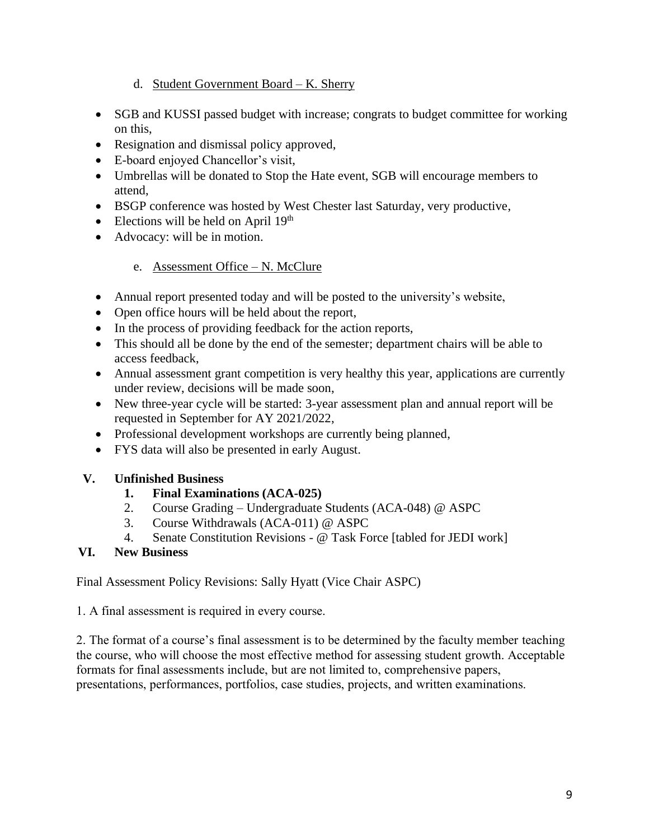# d. Student Government Board – K. Sherry

- SGB and KUSSI passed budget with increase; congrats to budget committee for working on this,
- Resignation and dismissal policy approved,
- E-board enjoyed Chancellor's visit,
- Umbrellas will be donated to Stop the Hate event, SGB will encourage members to attend,
- BSGP conference was hosted by West Chester last Saturday, very productive,
- Elections will be held on April  $19<sup>th</sup>$
- Advocacy: will be in motion.

# e. Assessment Office – N. McClure

- Annual report presented today and will be posted to the university's website,
- Open office hours will be held about the report,
- In the process of providing feedback for the action reports,
- This should all be done by the end of the semester; department chairs will be able to access feedback,
- Annual assessment grant competition is very healthy this year, applications are currently under review, decisions will be made soon,
- New three-year cycle will be started: 3-year assessment plan and annual report will be requested in September for AY 2021/2022,
- Professional development workshops are currently being planned,
- FYS data will also be presented in early August.

# **V. Unfinished Business**

# **1. Final Examinations (ACA-025)**

- 2. Course Grading Undergraduate Students (ACA-048) @ ASPC
- 3. Course Withdrawals (ACA-011) @ ASPC
- 4. Senate Constitution Revisions @ Task Force [tabled for JEDI work]

# **VI. New Business**

Final Assessment Policy Revisions: Sally Hyatt (Vice Chair ASPC)

1. A final assessment is required in every course.

2. The format of a course's final assessment is to be determined by the faculty member teaching the course, who will choose the most effective method for assessing student growth. Acceptable formats for final assessments include, but are not limited to, comprehensive papers, presentations, performances, portfolios, case studies, projects, and written examinations.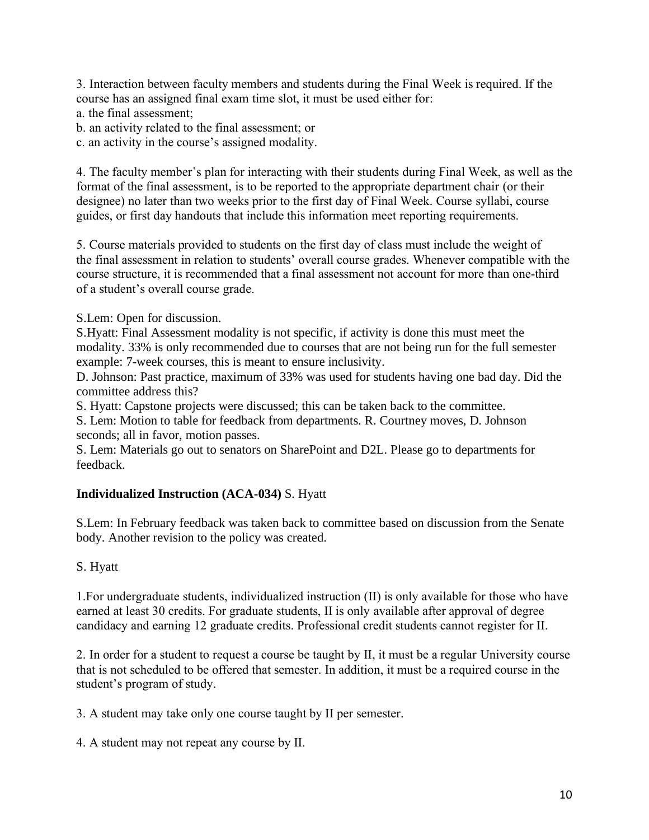3. Interaction between faculty members and students during the Final Week is required. If the course has an assigned final exam time slot, it must be used either for:

a. the final assessment;

b. an activity related to the final assessment; or

c. an activity in the course's assigned modality.

4. The faculty member's plan for interacting with their students during Final Week, as well as the format of the final assessment, is to be reported to the appropriate department chair (or their designee) no later than two weeks prior to the first day of Final Week. Course syllabi, course guides, or first day handouts that include this information meet reporting requirements.

5. Course materials provided to students on the first day of class must include the weight of the final assessment in relation to students' overall course grades. Whenever compatible with the course structure, it is recommended that a final assessment not account for more than one-third of a student's overall course grade.

S.Lem: Open for discussion.

S.Hyatt: Final Assessment modality is not specific, if activity is done this must meet the modality. 33% is only recommended due to courses that are not being run for the full semester example: 7-week courses, this is meant to ensure inclusivity.

D. Johnson: Past practice, maximum of 33% was used for students having one bad day. Did the committee address this?

S. Hyatt: Capstone projects were discussed; this can be taken back to the committee.

S. Lem: Motion to table for feedback from departments. R. Courtney moves, D. Johnson seconds; all in favor, motion passes.

S. Lem: Materials go out to senators on SharePoint and D2L. Please go to departments for feedback.

# **Individualized Instruction (ACA-034)** S. Hyatt

S.Lem: In February feedback was taken back to committee based on discussion from the Senate body. Another revision to the policy was created.

S. Hyatt

1.For undergraduate students, individualized instruction (II) is only available for those who have earned at least 30 credits. For graduate students, II is only available after approval of degree candidacy and earning 12 graduate credits. Professional credit students cannot register for II.

2. In order for a student to request a course be taught by II, it must be a regular University course that is not scheduled to be offered that semester. In addition, it must be a required course in the student's program of study.

3. A student may take only one course taught by II per semester.

4. A student may not repeat any course by II.